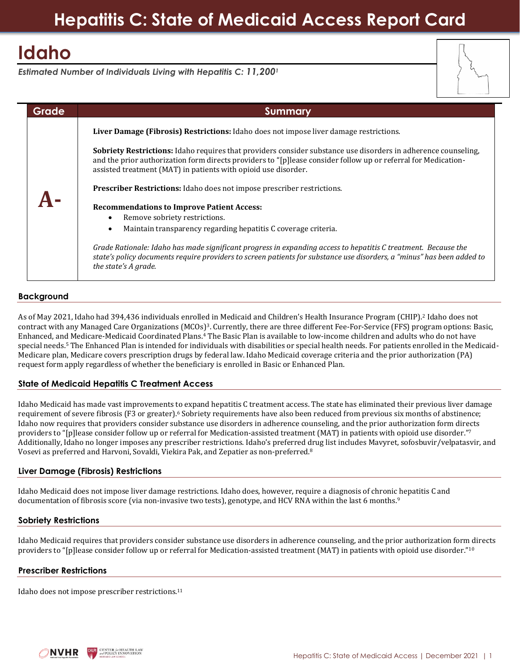# **Hepatitis C: State of Medicaid Access Report Card**

# **Idaho**

*Estimated Number of Individuals Living with Hepatitis C: 11,200<sup>1</sup>*

| Grade | Summary                                                                                                                                                                                                                                                                                            |
|-------|----------------------------------------------------------------------------------------------------------------------------------------------------------------------------------------------------------------------------------------------------------------------------------------------------|
|       | Liver Damage (Fibrosis) Restrictions: Idaho does not impose liver damage restrictions.                                                                                                                                                                                                             |
|       | Sobriety Restrictions: Idaho requires that providers consider substance use disorders in adherence counseling,<br>and the prior authorization form directs providers to "[p]lease consider follow up or referral for Medication-<br>assisted treatment (MAT) in patients with opioid use disorder. |
|       | <b>Prescriber Restrictions:</b> Idaho does not impose prescriber restrictions.                                                                                                                                                                                                                     |
|       | <b>Recommendations to Improve Patient Access:</b><br>Remove sobriety restrictions.                                                                                                                                                                                                                 |
|       | Maintain transparency regarding hepatitis C coverage criteria.<br>$\bullet$                                                                                                                                                                                                                        |
|       | Grade Rationale: Idaho has made significant progress in expanding access to hepatitis C treatment. Because the<br>state's policy documents require providers to screen patients for substance use disorders, a "minus" has been added to<br>the state's A grade.                                   |

## **Background**

As of May 2021, Idaho had 394,436 individuals enrolled in Medicaid and Children's Health Insurance Program (CHIP).<sup>2</sup> Idaho does not contract with any Managed Care Organizations (MCOs)<sup>3</sup>. Currently, there are three different Fee-For-Service (FFS) program options: Basic, Enhanced, and Medicare-Medicaid Coordinated Plans.<sup>4</sup> The Basic Plan is available to low-income children and adults who do not have special needs. <sup>5</sup> The Enhanced Plan is intended for individuals with disabilities or special health needs. For patients enrolled in the Medicaid-Medicare plan, Medicare covers prescription drugs by federal law. Idaho Medicaid coverage criteria and the prior authorization (PA) request form apply regardless of whether the beneficiary is enrolled in Basic or Enhanced Plan.

### **State of Medicaid Hepatitis C Treatment Access**

Idaho Medicaid has made vast improvements to expand hepatitis C treatment access. The state has eliminated their previous liver damage requirement of severe fibrosis (F3 or greater).<sup>6</sup> Sobriety requirements have also been reduced from previous six months of abstinence; Idaho now requires that providers consider substance use disorders in adherence counseling, and the prior authorization form directs providers to "[p]lease consider follow up or referral for Medication-assisted treatment (MAT) in patients with opioid use disorder."<sup>7</sup> Additionally, Idaho no longer imposes any prescriber restrictions. Idaho's preferred drug list includes Mavyret, sofosbuvir/velpatasvir, and Vosevi as preferred and Harvoni, Sovaldi, Viekira Pak, and Zepatier as non-preferred.<sup>8</sup>

### **Liver Damage (Fibrosis) Restrictions**

Idaho Medicaid does not impose liver damage restrictions. Idaho does, however, require a diagnosis of chronic hepatitis C and documentation of fibrosis score (via non-invasive two tests), genotype, and HCV RNA within the last 6 months.<sup>9</sup>

### **Sobriety Restrictions**

Idaho Medicaid requires that providers consider substance use disorders in adherence counseling, and the prior authorization form directs providers to "[p]lease consider follow up or referral for Medication-assisted treatment (MAT) in patients with opioid use disorder."<sup>10</sup>

### **Prescriber Restrictions**

Idaho does not impose prescriber restrictions.11